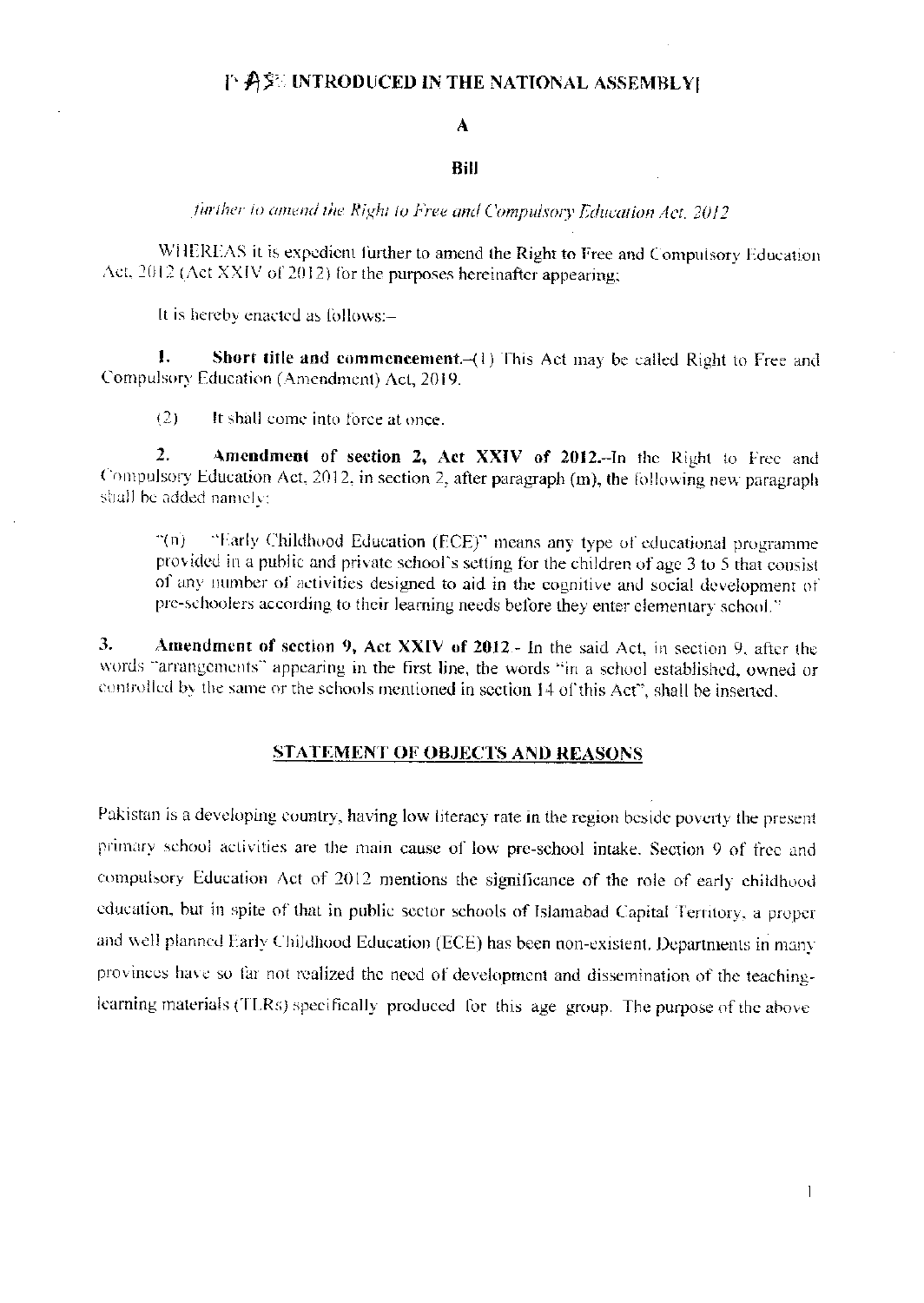## 千 角穿 INTRODUCED IN THE NATIONAL ASSEMBLY

## A

## **Bill**

further to amend the Right to Free and Compulsory Education Act. 2012

WHEREAS it is expedient further to amend the Right to Free and Compulsory Education Act, 2012 (Act XXIV of 2012) for the purposes hereinafter appearing:

It is hereby enacted as follows:-

 $\mathbf{I}$ . Short title and commencement.-(1) This Act may be called Right to Free and Compulsory Education (Amendment) Act, 2019.

 $(2)$ It shall come into force at once.

 $\overline{2}$ . Amendment of section 2, Act XXIV of 2012.-In the Right to Free and Compulsory Education Act, 2012, in section 2, after paragraph (m), the following new paragraph shall be added namely:

"Early Childhood Education (ECE)" means any type of educational programme  $\mathbb{C}(\mathfrak{n})$  . provided in a public and private school's setting for the children of age 3 to 5 that consist of any number of activities designed to aid in the cognitive and social development of pre-schoolers according to their learning needs before they enter elementary school."

3. Amendment of section 9, Act XXIV of 2012.- In the said Act, in section 9, after the words "arrangements" appearing in the first line, the words "in a school established, owned or controlled by the same or the schools mentioned in section 14 of this Act", shall be inserted.

## **STATEMENT OF OBJECTS AND REASONS**

Pakistan is a developing country, having low literacy rate in the region beside poverty the present primary school activities are the main cause of low pre-school intake. Section 9 of free and compulsory Education Act of 2012 mentions the significance of the role of early childhood education, but in spite of that in public sector schools of Islamabad Capital Territory, a proper and well planned Early Childhood Education (ECE) has been non-existent. Departments in many provinces have so far not realized the need of development and dissemination of the teachinglearning materials (TLRs) specifically produced for this age group. The purpose of the above